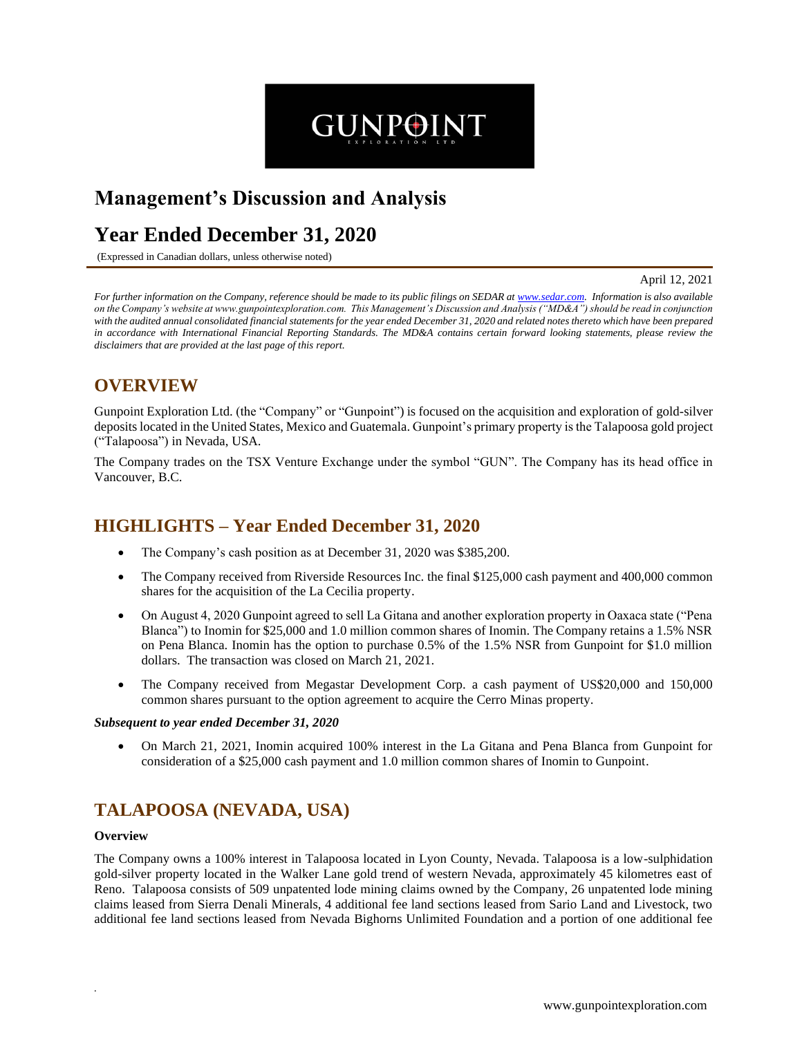# **Management's Discussion and Analysis**

# **Year Ended December 31, 2020**

(Expressed in Canadian dollars, unless otherwise noted)

April 12, 2021

*For further information on the Company, reference should be made to its public filings on SEDAR at www.sedar.com. Information is also available on the Company's website at www.gunpointexploration.com. This Management's Discussion and Analysis ("MD&A") should be read in conjunction with the audited annual consolidated financial statements for the year ended December 31, 2020 and related notes thereto which have been prepared in accordance with International Financial Reporting Standards. The MD&A contains certain forward looking statements, please review the disclaimers that are provided at the last page of this report.*

**GUNPOINT** 

## **OVERVIEW**

Gunpoint Exploration Ltd. (the "Company" or "Gunpoint") is focused on the acquisition and exploration of gold-silver depositslocated in the United States, Mexico and Guatemala. Gunpoint's primary property is the Talapoosa gold project ("Talapoosa") in Nevada, USA.

The Company trades on the TSX Venture Exchange under the symbol "GUN". The Company has its head office in Vancouver, B.C.

### **HIGHLIGHTS – Year Ended December 31, 2020**

- The Company's cash position as at December 31, 2020 was \$385,200.
- The Company received from Riverside Resources Inc. the final \$125,000 cash payment and 400,000 common shares for the acquisition of the La Cecilia property.
- On August 4, 2020 Gunpoint agreed to sell La Gitana and another exploration property in Oaxaca state ("Pena" Blanca") to Inomin for \$25,000 and 1.0 million common shares of Inomin. The Company retains a 1.5% NSR on Pena Blanca. Inomin has the option to purchase 0.5% of the 1.5% NSR from Gunpoint for \$1.0 million dollars. The transaction was closed on March 21, 2021.
- The Company received from Megastar Development Corp. a cash payment of US\$20,000 and 150,000 common shares pursuant to the option agreement to acquire the Cerro Minas property.

#### *Subsequent to year ended December 31, 2020*

• On March 21, 2021, Inomin acquired 100% interest in the La Gitana and Pena Blanca from Gunpoint for consideration of a \$25,000 cash payment and 1.0 million common shares of Inomin to Gunpoint.

### **TALAPOOSA (NEVADA, USA)**

#### **Overview**

*.* 

The Company owns a 100% interest in Talapoosa located in Lyon County, Nevada. Talapoosa is a low-sulphidation gold-silver property located in the Walker Lane gold trend of western Nevada, approximately 45 kilometres east of Reno. Talapoosa consists of 509 unpatented lode mining claims owned by the Company, 26 unpatented lode mining claims leased from Sierra Denali Minerals, 4 additional fee land sections leased from Sario Land and Livestock, two additional fee land sections leased from Nevada Bighorns Unlimited Foundation and a portion of one additional fee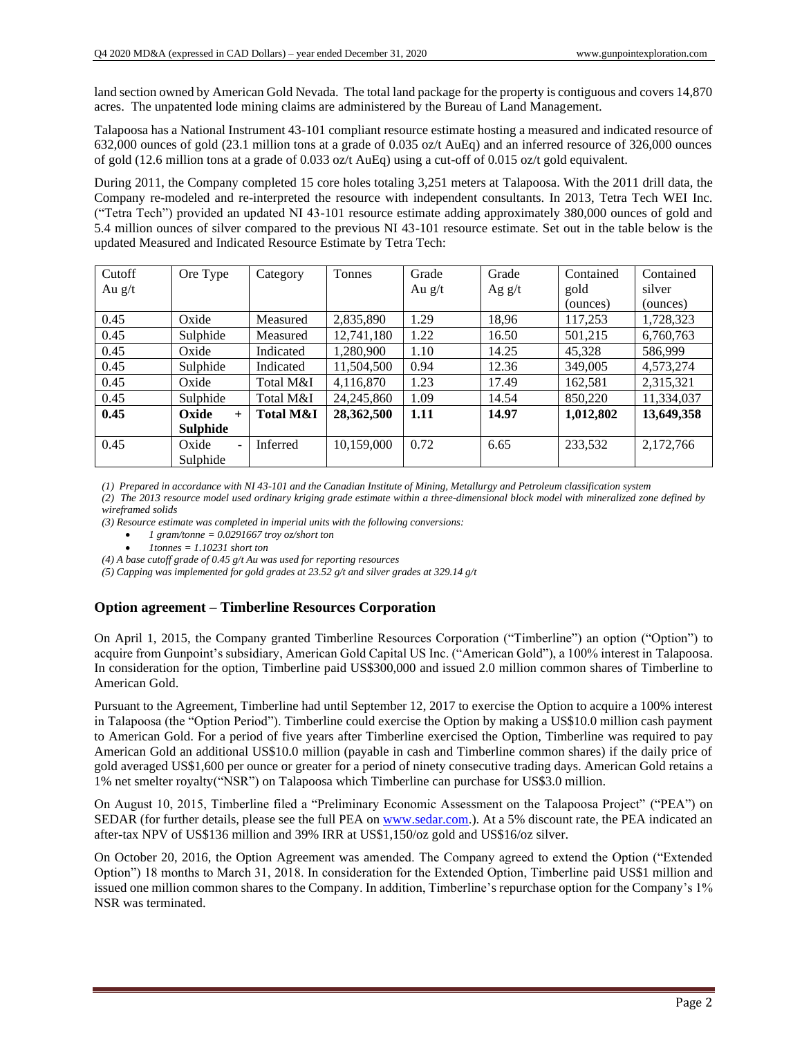land section owned by American Gold Nevada. The total land package for the property is contiguous and covers 14,870 acres. The unpatented lode mining claims are administered by the Bureau of Land Management.

Talapoosa has a National Instrument 43-101 compliant resource estimate hosting a measured and indicated resource of 632,000 ounces of gold (23.1 million tons at a grade of 0.035 oz/t AuEq) and an inferred resource of 326,000 ounces of gold (12.6 million tons at a grade of 0.033 oz/t AuEq) using a cut-off of 0.015 oz/t gold equivalent.

During 2011, the Company completed 15 core holes totaling 3,251 meters at Talapoosa. With the 2011 drill data, the Company re-modeled and re-interpreted the resource with independent consultants. In 2013, Tetra Tech WEI Inc. ("Tetra Tech") provided an updated NI 43-101 resource estimate adding approximately 380,000 ounces of gold and 5.4 million ounces of silver compared to the previous NI 43-101 resource estimate. Set out in the table below is the updated Measured and Indicated Resource Estimate by Tetra Tech:

| Cutoff   | Ore Type                | Category             | <b>Tonnes</b> | Grade    | Grade    | Contained | Contained  |
|----------|-------------------------|----------------------|---------------|----------|----------|-----------|------------|
| Au $g/t$ |                         |                      |               | Au $g/t$ | Ag $g/t$ | gold      | silver     |
|          |                         |                      |               |          |          | (ounces)  | (ounces)   |
| 0.45     | Oxide                   | Measured             | 2,835,890     | .29      | 18,96    | 117,253   | 1,728,323  |
| 0.45     | Sulphide                | Measured             | 12,741,180    | 1.22     | 16.50    | 501,215   | 6,760,763  |
| 0.45     | Oxide                   | Indicated            | 1,280,900     | 1.10     | 14.25    | 45,328    | 586.999    |
| 0.45     | Sulphide                | Indicated            | 11,504,500    | 0.94     | 12.36    | 349,005   | 4,573,274  |
| 0.45     | Oxide                   | Total M&I            | 4,116,870     | 1.23     | 17.49    | 162,581   | 2,315,321  |
| 0.45     | Sulphide                | Total M&I            | 24, 245, 860  | 1.09     | 14.54    | 850,220   | 11,334,037 |
| 0.45     | Oxide<br>$+$            | <b>Total M&amp;I</b> | 28,362,500    | 1.11     | 14.97    | 1,012,802 | 13,649,358 |
|          | <b>Sulphide</b>         |                      |               |          |          |           |            |
| 0.45     | Oxide<br>$\blacksquare$ | <b>Inferred</b>      | 10,159,000    | 0.72     | 6.65     | 233.532   | 2,172,766  |
|          | Sulphide                |                      |               |          |          |           |            |

*(1) Prepared in accordance with NI 43-101 and the Canadian Institute of Mining, Metallurgy and Petroleum classification system*

*(2) The 2013 resource model used ordinary kriging grade estimate within a three-dimensional block model with mineralized zone defined by wireframed solids*

*(3) Resource estimate was completed in imperial units with the following conversions:*

- *1 gram/tonne = 0.0291667 troy oz/short ton*
- *1tonnes = 1.10231 short ton*

*(4) A base cutoff grade of 0.45 g/t Au was used for reporting resources*

*(5) Capping was implemented for gold grades at 23.52 g/t and silver grades at 329.14 g/t*

#### **Option agreement – Timberline Resources Corporation**

On April 1, 2015, the Company granted Timberline Resources Corporation ("Timberline") an option ("Option") to acquire from Gunpoint's subsidiary, American Gold Capital US Inc. ("American Gold"), a 100% interest in Talapoosa. In consideration for the option, Timberline paid US\$300,000 and issued 2.0 million common shares of Timberline to American Gold.

Pursuant to the Agreement, Timberline had until September 12, 2017 to exercise the Option to acquire a 100% interest in Talapoosa (the "Option Period"). Timberline could exercise the Option by making a US\$10.0 million cash payment to American Gold. For a period of five years after Timberline exercised the Option, Timberline was required to pay American Gold an additional US\$10.0 million (payable in cash and Timberline common shares) if the daily price of gold averaged US\$1,600 per ounce or greater for a period of ninety consecutive trading days. American Gold retains a 1% net smelter royalty("NSR") on Talapoosa which Timberline can purchase for US\$3.0 million.

On August 10, 2015, Timberline filed a "Preliminary Economic Assessment on the Talapoosa Project" ("PEA") on SEDAR (for further details, please see the full PEA on www.sedar.com.). At a 5% discount rate, the PEA indicated an after-tax NPV of US\$136 million and 39% IRR at US\$1,150/oz gold and US\$16/oz silver.

On October 20, 2016, the Option Agreement was amended. The Company agreed to extend the Option ("Extended Option") 18 months to March 31, 2018. In consideration for the Extended Option, Timberline paid US\$1 million and issued one million common shares to the Company. In addition, Timberline's repurchase option for the Company's 1% NSR was terminated.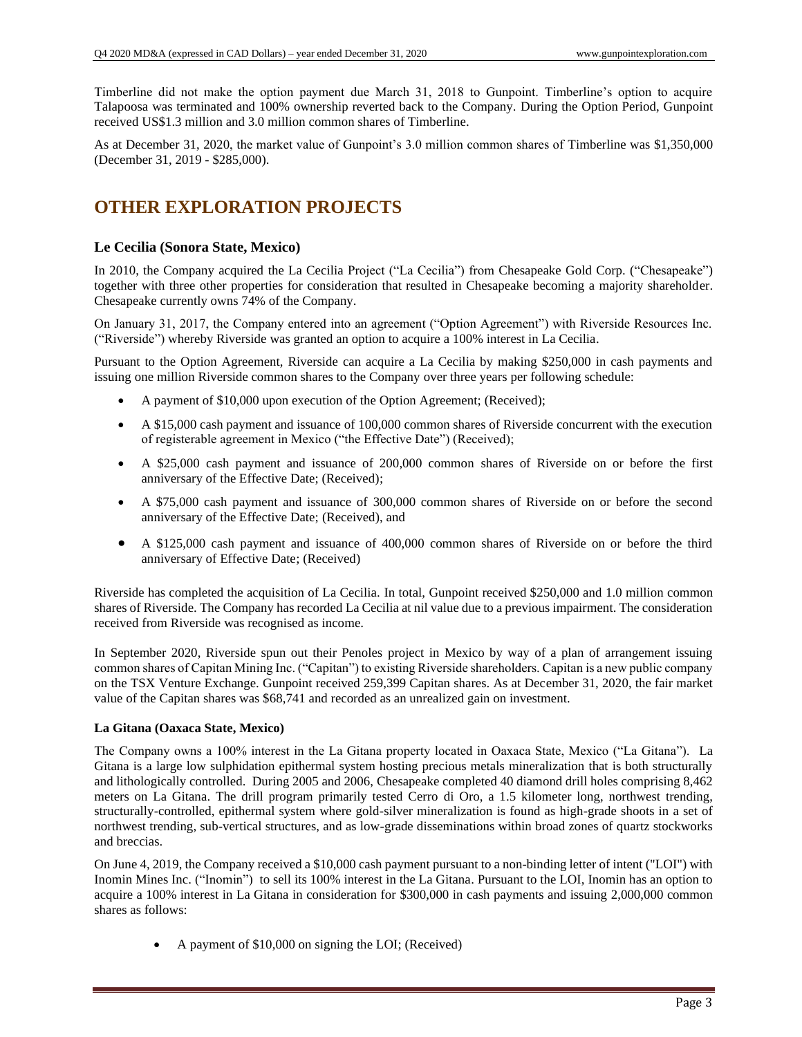Timberline did not make the option payment due March 31, 2018 to Gunpoint. Timberline's option to acquire Talapoosa was terminated and 100% ownership reverted back to the Company. During the Option Period, Gunpoint received US\$1.3 million and 3.0 million common shares of Timberline.

As at December 31, 2020, the market value of Gunpoint's 3.0 million common shares of Timberline was \$1,350,000 (December 31, 2019 - \$285,000).

# **OTHER EXPLORATION PROJECTS**

#### **Le Cecilia (Sonora State, Mexico)**

In 2010, the Company acquired the La Cecilia Project ("La Cecilia") from Chesapeake Gold Corp. ("Chesapeake") together with three other properties for consideration that resulted in Chesapeake becoming a majority shareholder. Chesapeake currently owns 74% of the Company.

On January 31, 2017, the Company entered into an agreement ("Option Agreement") with Riverside Resources Inc. ("Riverside") whereby Riverside was granted an option to acquire a 100% interest in La Cecilia.

Pursuant to the Option Agreement, Riverside can acquire a La Cecilia by making \$250,000 in cash payments and issuing one million Riverside common shares to the Company over three years per following schedule:

- A payment of \$10,000 upon execution of the Option Agreement; (Received);
- A \$15,000 cash payment and issuance of 100,000 common shares of Riverside concurrent with the execution of registerable agreement in Mexico ("the Effective Date") (Received);
- A \$25,000 cash payment and issuance of 200,000 common shares of Riverside on or before the first anniversary of the Effective Date; (Received);
- A \$75,000 cash payment and issuance of 300,000 common shares of Riverside on or before the second anniversary of the Effective Date; (Received), and
- A \$125,000 cash payment and issuance of 400,000 common shares of Riverside on or before the third anniversary of Effective Date; (Received)

Riverside has completed the acquisition of La Cecilia. In total, Gunpoint received \$250,000 and 1.0 million common shares of Riverside. The Company has recorded La Cecilia at nil value due to a previous impairment. The consideration received from Riverside was recognised as income.

In September 2020, Riverside spun out their Penoles project in Mexico by way of a plan of arrangement issuing common shares of Capitan Mining Inc. ("Capitan") to existing Riverside shareholders. Capitan is a new public company on the TSX Venture Exchange. Gunpoint received 259,399 Capitan shares. As at December 31, 2020, the fair market value of the Capitan shares was \$68,741 and recorded as an unrealized gain on investment.

#### **La Gitana (Oaxaca State, Mexico)**

The Company owns a 100% interest in the La Gitana property located in Oaxaca State, Mexico ("La Gitana"). La Gitana is a large low sulphidation epithermal system hosting precious metals mineralization that is both structurally and lithologically controlled. During 2005 and 2006, Chesapeake completed 40 diamond drill holes comprising 8,462 meters on La Gitana. The drill program primarily tested Cerro di Oro, a 1.5 kilometer long, northwest trending, structurally-controlled, epithermal system where gold-silver mineralization is found as high-grade shoots in a set of northwest trending, sub-vertical structures, and as low-grade disseminations within broad zones of quartz stockworks and breccias.

On June 4, 2019, the Company received a \$10,000 cash payment pursuant to a non-binding letter of intent ("LOI") with Inomin Mines Inc. ("Inomin") to sell its 100% interest in the La Gitana. Pursuant to the LOI, Inomin has an option to acquire a 100% interest in La Gitana in consideration for \$300,000 in cash payments and issuing 2,000,000 common shares as follows:

• A payment of \$10,000 on signing the LOI; (Received)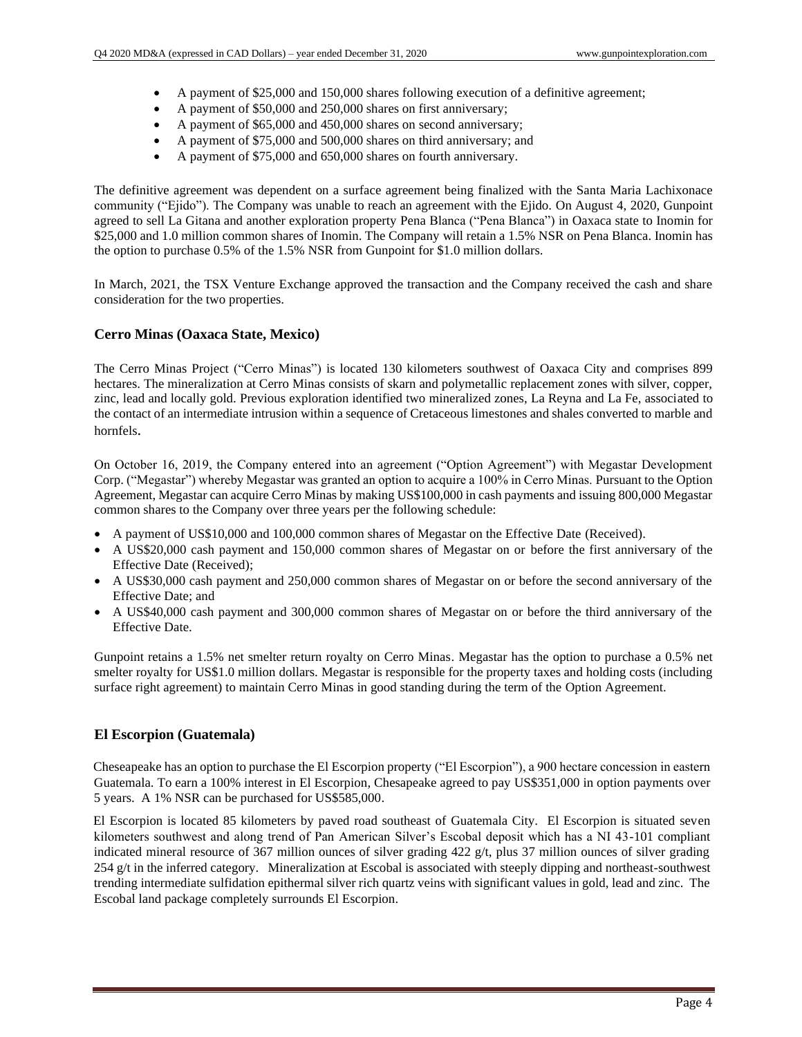- A payment of \$25,000 and 150,000 shares following execution of a definitive agreement;
- A payment of \$50,000 and 250,000 shares on first anniversary;
- A payment of \$65,000 and 450,000 shares on second anniversary;
- A payment of \$75,000 and 500,000 shares on third anniversary; and
- A payment of \$75,000 and 650,000 shares on fourth anniversary.

The definitive agreement was dependent on a surface agreement being finalized with the Santa Maria Lachixonace community ("Ejido"). The Company was unable to reach an agreement with the Ejido. On August 4, 2020, Gunpoint agreed to sell La Gitana and another exploration property Pena Blanca ("Pena Blanca") in Oaxaca state to Inomin for \$25,000 and 1.0 million common shares of Inomin. The Company will retain a 1.5% NSR on Pena Blanca. Inomin has the option to purchase 0.5% of the 1.5% NSR from Gunpoint for \$1.0 million dollars.

In March, 2021, the TSX Venture Exchange approved the transaction and the Company received the cash and share consideration for the two properties.

#### **Cerro Minas (Oaxaca State, Mexico)**

The Cerro Minas Project ("Cerro Minas") is located 130 kilometers southwest of Oaxaca City and comprises 899 hectares. The mineralization at Cerro Minas consists of skarn and polymetallic replacement zones with silver, copper, zinc, lead and locally gold. Previous exploration identified two mineralized zones, La Reyna and La Fe, associated to the contact of an intermediate intrusion within a sequence of Cretaceous limestones and shales converted to marble and hornfels.

On October 16, 2019, the Company entered into an agreement ("Option Agreement") with Megastar Development Corp. ("Megastar") whereby Megastar was granted an option to acquire a 100% in Cerro Minas. Pursuant to the Option Agreement, Megastar can acquire Cerro Minas by making US\$100,000 in cash payments and issuing 800,000 Megastar common shares to the Company over three years per the following schedule:

- A payment of US\$10,000 and 100,000 common shares of Megastar on the Effective Date (Received).
- A US\$20,000 cash payment and 150,000 common shares of Megastar on or before the first anniversary of the Effective Date (Received);
- A US\$30,000 cash payment and 250,000 common shares of Megastar on or before the second anniversary of the Effective Date; and
- A US\$40,000 cash payment and 300,000 common shares of Megastar on or before the third anniversary of the Effective Date.

Gunpoint retains a 1.5% net smelter return royalty on Cerro Minas. Megastar has the option to purchase a 0.5% net smelter royalty for US\$1.0 million dollars. Megastar is responsible for the property taxes and holding costs (including surface right agreement) to maintain Cerro Minas in good standing during the term of the Option Agreement.

#### **El Escorpion (Guatemala)**

Cheseapeake has an option to purchase the El Escorpion property ("El Escorpion"), a 900 hectare concession in eastern Guatemala. To earn a 100% interest in El Escorpion, Chesapeake agreed to pay US\$351,000 in option payments over 5 years. A 1% NSR can be purchased for US\$585,000.

El Escorpion is located 85 kilometers by paved road southeast of Guatemala City. El Escorpion is situated seven kilometers southwest and along trend of Pan American Silver's Escobal deposit which has a NI 43-101 compliant indicated mineral resource of 367 million ounces of silver grading  $422 \frac{g}{t}$ , plus 37 million ounces of silver grading 254 g/t in the inferred category. Mineralization at Escobal is associated with steeply dipping and northeast-southwest trending intermediate sulfidation epithermal silver rich quartz veins with significant values in gold, lead and zinc. The Escobal land package completely surrounds El Escorpion.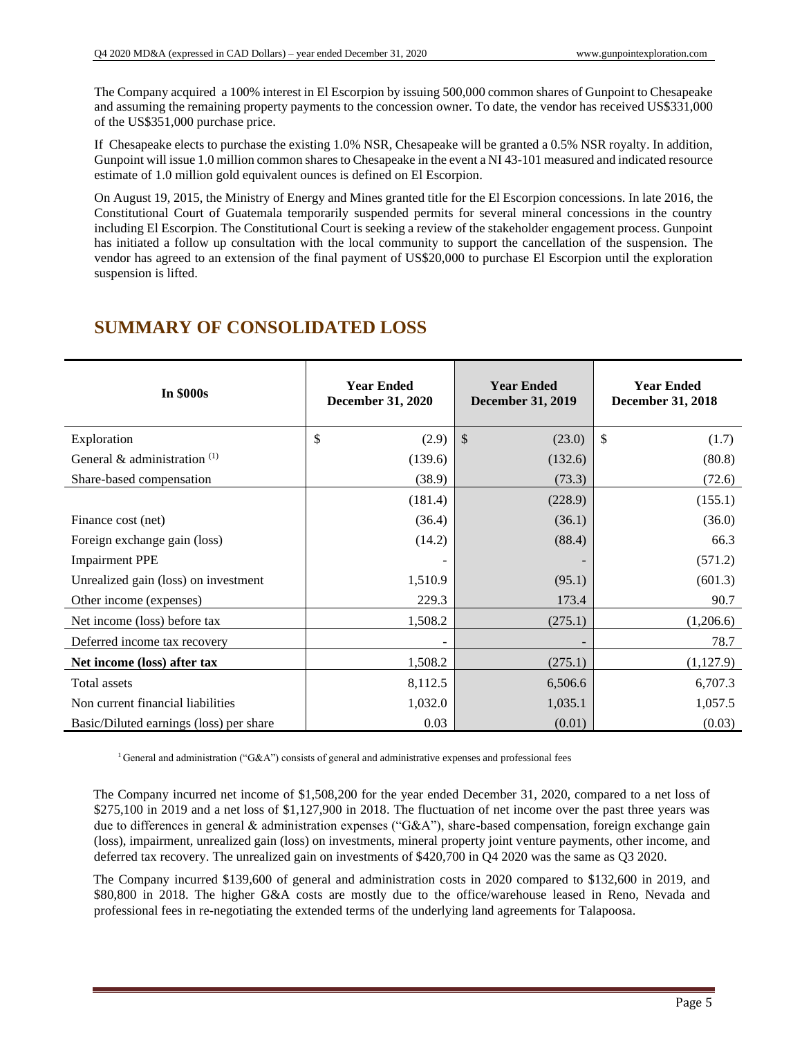The Company acquired a 100% interest in El Escorpion by issuing 500,000 common shares of Gunpoint to Chesapeake and assuming the remaining property payments to the concession owner. To date, the vendor has received US\$331,000 of the US\$351,000 purchase price.

If Chesapeake elects to purchase the existing 1.0% NSR, Chesapeake will be granted a 0.5% NSR royalty. In addition, Gunpoint will issue 1.0 million common shares to Chesapeake in the event a NI 43-101 measured and indicated resource estimate of 1.0 million gold equivalent ounces is defined on El Escorpion.

On August 19, 2015, the Ministry of Energy and Mines granted title for the El Escorpion concessions. In late 2016, the Constitutional Court of Guatemala temporarily suspended permits for several mineral concessions in the country including El Escorpion. The Constitutional Court is seeking a review of the stakeholder engagement process. Gunpoint has initiated a follow up consultation with the local community to support the cancellation of the suspension. The vendor has agreed to an extension of the final payment of US\$20,000 to purchase El Escorpion until the exploration suspension is lifted.

# **SUMMARY OF CONSOLIDATED LOSS**

| <b>In \$000s</b>                        | <b>Year Ended</b><br><b>December 31, 2020</b> | <b>Year Ended</b><br><b>December 31, 2019</b> | <b>Year Ended</b><br><b>December 31, 2018</b> |  |
|-----------------------------------------|-----------------------------------------------|-----------------------------------------------|-----------------------------------------------|--|
| Exploration                             | \$<br>(2.9)                                   | \$<br>(23.0)                                  | \$<br>(1.7)                                   |  |
| General & administration $(1)$          | (139.6)                                       | (132.6)                                       | (80.8)                                        |  |
| Share-based compensation                | (38.9)                                        | (73.3)                                        | (72.6)                                        |  |
|                                         | (181.4)                                       | (228.9)                                       | (155.1)                                       |  |
| Finance cost (net)                      | (36.4)                                        | (36.1)                                        | (36.0)                                        |  |
| Foreign exchange gain (loss)            | (14.2)                                        | (88.4)                                        | 66.3                                          |  |
| <b>Impairment PPE</b>                   |                                               |                                               | (571.2)                                       |  |
| Unrealized gain (loss) on investment    | 1,510.9                                       | (95.1)                                        | (601.3)                                       |  |
| Other income (expenses)                 | 229.3                                         | 173.4                                         | 90.7                                          |  |
| Net income (loss) before tax            | 1,508.2                                       | (275.1)                                       | (1,206.6)                                     |  |
| Deferred income tax recovery            |                                               |                                               | 78.7                                          |  |
| Net income (loss) after tax             | 1,508.2                                       | (275.1)                                       | (1,127.9)                                     |  |
| Total assets                            | 8,112.5                                       | 6,506.6                                       | 6,707.3                                       |  |
| Non current financial liabilities       | 1,032.0                                       | 1,035.1                                       | 1,057.5                                       |  |
| Basic/Diluted earnings (loss) per share | 0.03                                          | (0.01)                                        | (0.03)                                        |  |

 $1$ General and administration ("G&A") consists of general and administrative expenses and professional fees

The Company incurred net income of \$1,508,200 for the year ended December 31, 2020, compared to a net loss of \$275,100 in 2019 and a net loss of \$1,127,900 in 2018. The fluctuation of net income over the past three years was due to differences in general & administration expenses ("G&A"), share-based compensation, foreign exchange gain (loss), impairment, unrealized gain (loss) on investments, mineral property joint venture payments, other income, and deferred tax recovery. The unrealized gain on investments of \$420,700 in Q4 2020 was the same as Q3 2020.

The Company incurred \$139,600 of general and administration costs in 2020 compared to \$132,600 in 2019, and \$80,800 in 2018. The higher G&A costs are mostly due to the office/warehouse leased in Reno, Nevada and professional fees in re-negotiating the extended terms of the underlying land agreements for Talapoosa.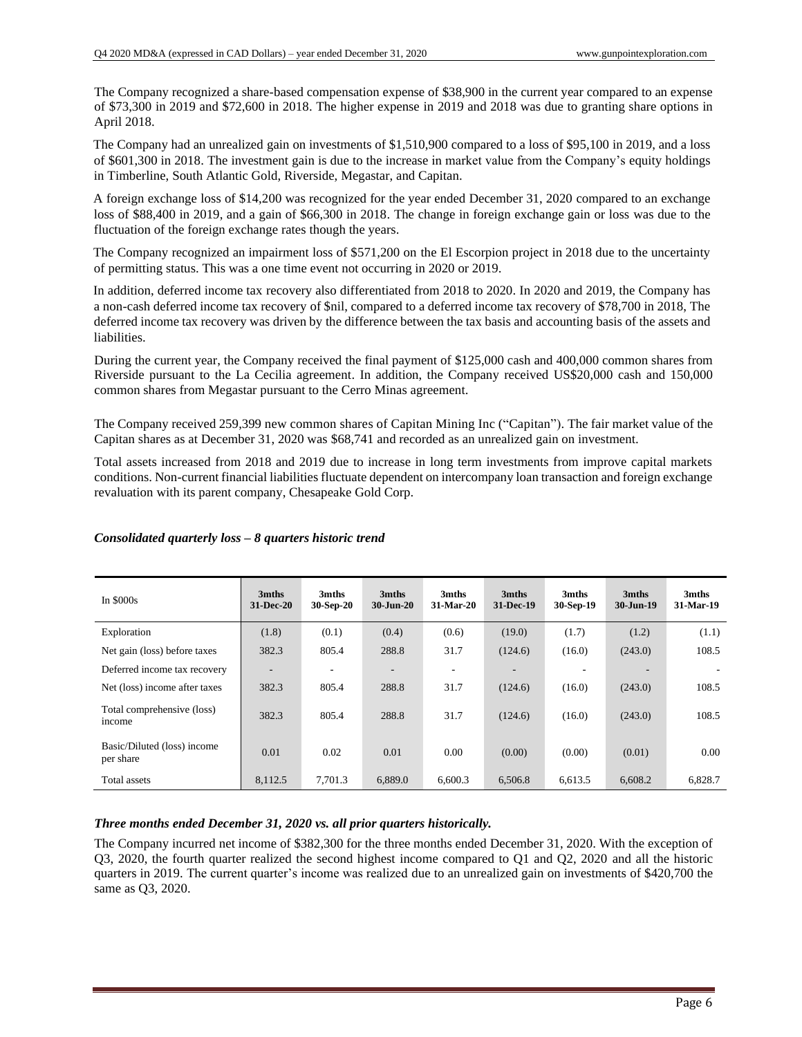The Company recognized a share-based compensation expense of \$38,900 in the current year compared to an expense of \$73,300 in 2019 and \$72,600 in 2018. The higher expense in 2019 and 2018 was due to granting share options in April 2018.

The Company had an unrealized gain on investments of \$1,510,900 compared to a loss of \$95,100 in 2019, and a loss of \$601,300 in 2018. The investment gain is due to the increase in market value from the Company's equity holdings in Timberline, South Atlantic Gold, Riverside, Megastar, and Capitan.

A foreign exchange loss of \$14,200 was recognized for the year ended December 31, 2020 compared to an exchange loss of \$88,400 in 2019, and a gain of \$66,300 in 2018. The change in foreign exchange gain or loss was due to the fluctuation of the foreign exchange rates though the years.

The Company recognized an impairment loss of \$571,200 on the El Escorpion project in 2018 due to the uncertainty of permitting status. This was a one time event not occurring in 2020 or 2019.

In addition, deferred income tax recovery also differentiated from 2018 to 2020. In 2020 and 2019, the Company has a non-cash deferred income tax recovery of \$nil, compared to a deferred income tax recovery of \$78,700 in 2018, The deferred income tax recovery was driven by the difference between the tax basis and accounting basis of the assets and liabilities.

During the current year, the Company received the final payment of \$125,000 cash and 400,000 common shares from Riverside pursuant to the La Cecilia agreement. In addition, the Company received US\$20,000 cash and 150,000 common shares from Megastar pursuant to the Cerro Minas agreement.

The Company received 259,399 new common shares of Capitan Mining Inc ("Capitan"). The fair market value of the Capitan shares as at December 31, 2020 was \$68,741 and recorded as an unrealized gain on investment.

Total assets increased from 2018 and 2019 due to increase in long term investments from improve capital markets conditions. Non-current financial liabilities fluctuate dependent on intercompany loan transaction and foreign exchange revaluation with its parent company, Chesapeake Gold Corp.

| In $$000s$                               | 3mths<br><b>31-Dec-20</b> | 3mths<br>30-Sep-20 | 3mths<br>$30 - Jun-20$   | 3mths<br>31-Mar-20 | 3mths<br>31-Dec-19 | 3mths<br>30-Sep-19 | 3mths<br>30-Jun-19 | 3mths<br>31-Mar-19 |
|------------------------------------------|---------------------------|--------------------|--------------------------|--------------------|--------------------|--------------------|--------------------|--------------------|
| Exploration                              | (1.8)                     | (0.1)              | (0.4)                    | (0.6)              | (19.0)             | (1.7)              | (1.2)              | (1.1)              |
| Net gain (loss) before taxes             | 382.3                     | 805.4              | 288.8                    | 31.7               | (124.6)            | (16.0)             | (243.0)            | 108.5              |
| Deferred income tax recovery             | -                         | ۰                  | $\overline{\phantom{a}}$ | ۰                  |                    |                    | -                  |                    |
| Net (loss) income after taxes            | 382.3                     | 805.4              | 288.8                    | 31.7               | (124.6)            | (16.0)             | (243.0)            | 108.5              |
| Total comprehensive (loss)<br>income     | 382.3                     | 805.4              | 288.8                    | 31.7               | (124.6)            | (16.0)             | (243.0)            | 108.5              |
| Basic/Diluted (loss) income<br>per share | 0.01                      | 0.02               | 0.01                     | 0.00               | (0.00)             | (0.00)             | (0.01)             | 0.00               |
| Total assets                             | 8,112.5                   | 7.701.3            | 6,889.0                  | 6.600.3            | 6,506.8            | 6,613.5            | 6,608.2            | 6,828.7            |

#### *Consolidated quarterly loss – 8 quarters historic trend*

#### *Three months ended December 31, 2020 vs. all prior quarters historically.*

The Company incurred net income of \$382,300 for the three months ended December 31, 2020. With the exception of Q3, 2020, the fourth quarter realized the second highest income compared to Q1 and Q2, 2020 and all the historic quarters in 2019. The current quarter's income was realized due to an unrealized gain on investments of \$420,700 the same as Q3, 2020.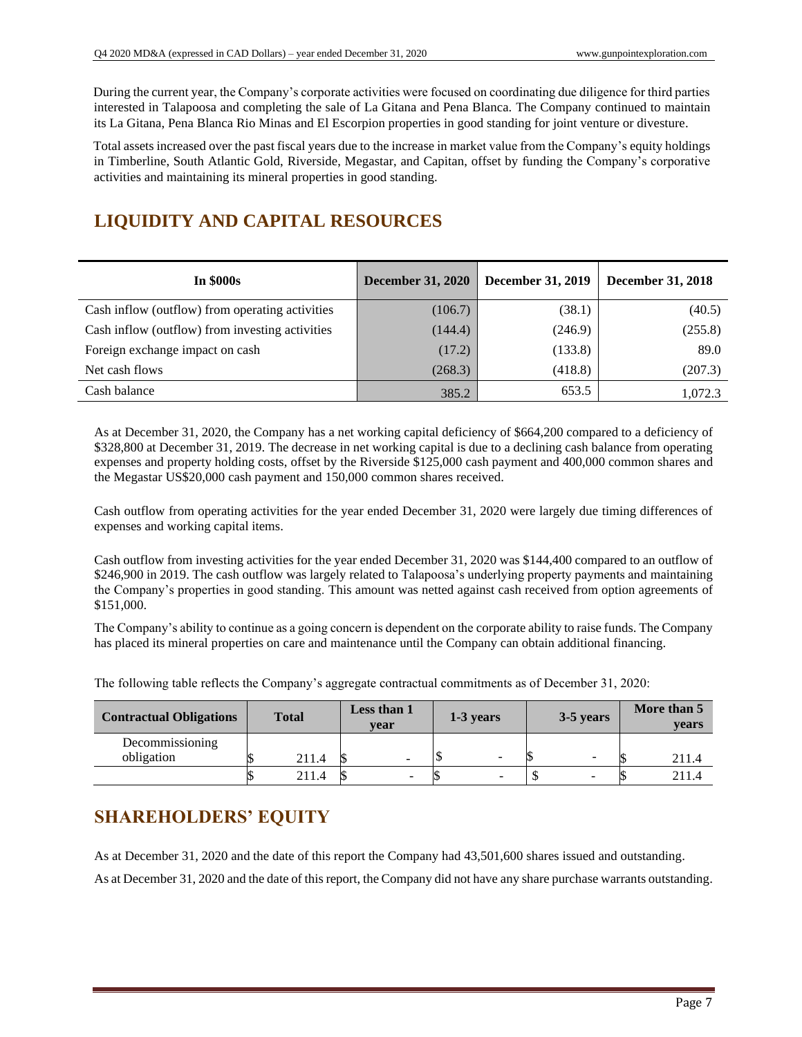During the current year, the Company's corporate activities were focused on coordinating due diligence for third parties interested in Talapoosa and completing the sale of La Gitana and Pena Blanca. The Company continued to maintain its La Gitana, Pena Blanca Rio Minas and El Escorpion properties in good standing for joint venture or divesture.

Total assets increased over the past fiscal years due to the increase in market value from the Company's equity holdings in Timberline, South Atlantic Gold, Riverside, Megastar, and Capitan, offset by funding the Company's corporative activities and maintaining its mineral properties in good standing.

# **LIQUIDITY AND CAPITAL RESOURCES**

| <b>In \$000s</b>                                | <b>December 31, 2020</b> | <b>December 31, 2019</b> | <b>December 31, 2018</b> |
|-------------------------------------------------|--------------------------|--------------------------|--------------------------|
| Cash inflow (outflow) from operating activities | (106.7)                  | (38.1)                   | (40.5)                   |
| Cash inflow (outflow) from investing activities | (144.4)                  | (246.9)                  | (255.8)                  |
| Foreign exchange impact on cash                 | (17.2)                   | (133.8)                  | 89.0                     |
| Net cash flows                                  | (268.3)                  | (418.8)                  | (207.3)                  |
| Cash balance                                    | 385.2                    | 653.5                    | 1.072.3                  |

As at December 31, 2020, the Company has a net working capital deficiency of \$664,200 compared to a deficiency of \$328,800 at December 31, 2019. The decrease in net working capital is due to a declining cash balance from operating expenses and property holding costs, offset by the Riverside \$125,000 cash payment and 400,000 common shares and the Megastar US\$20,000 cash payment and 150,000 common shares received.

Cash outflow from operating activities for the year ended December 31, 2020 were largely due timing differences of expenses and working capital items.

Cash outflow from investing activities for the year ended December 31, 2020 was \$144,400 compared to an outflow of \$246,900 in 2019. The cash outflow was largely related to Talapoosa's underlying property payments and maintaining the Company's properties in good standing. This amount was netted against cash received from option agreements of \$151,000.

The Company's ability to continue as a going concern is dependent on the corporate ability to raise funds. The Company has placed its mineral properties on care and maintenance until the Company can obtain additional financing.

| <b>Contractual Obligations</b> | <b>Total</b> | Less than 1<br>vear |   | 1-3 years |  | 3-5 years |                          | More than 5<br>years |
|--------------------------------|--------------|---------------------|---|-----------|--|-----------|--------------------------|----------------------|
| Decommissioning                |              |                     |   |           |  |           |                          |                      |
| obligation                     | 211.4        |                     | - |           |  |           | $\sim$                   | 211.4                |
|                                | 211.4        |                     | - |           |  |           | $\overline{\phantom{0}}$ | 211.4                |

The following table reflects the Company's aggregate contractual commitments as of December 31, 2020:

# **SHAREHOLDERS' EQUITY**

As at December 31, 2020 and the date of this report the Company had 43,501,600 shares issued and outstanding.

As at December 31, 2020 and the date of this report, the Company did not have any share purchase warrants outstanding.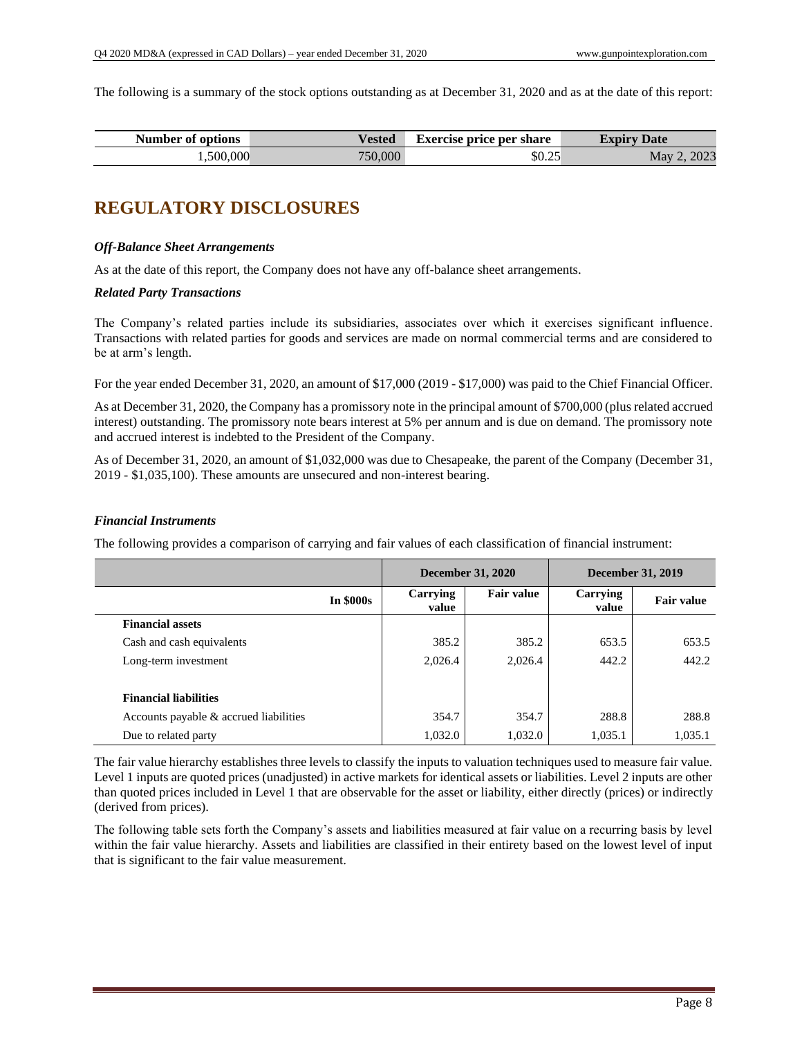The following is a summary of the stock options outstanding as at December 31, 2020 and as at the date of this report:

| Number of      | T       | <b>Exercise price per share</b> | Date               |
|----------------|---------|---------------------------------|--------------------|
| <b>options</b> | Vested  |                                 | Exdirv             |
| 1,500,000      | 750,000 | \$0.25                          | 2023<br><b>May</b> |

## **REGULATORY DISCLOSURES**

#### *Off-Balance Sheet Arrangements*

As at the date of this report, the Company does not have any off-balance sheet arrangements.

#### *Related Party Transactions*

The Company's related parties include its subsidiaries, associates over which it exercises significant influence. Transactions with related parties for goods and services are made on normal commercial terms and are considered to be at arm's length.

For the year ended December 31, 2020, an amount of \$17,000 (2019 - \$17,000) was paid to the Chief Financial Officer.

As at December 31, 2020, the Company has a promissory note in the principal amount of \$700,000 (plus related accrued interest) outstanding. The promissory note bears interest at 5% per annum and is due on demand. The promissory note and accrued interest is indebted to the President of the Company.

As of December 31, 2020, an amount of \$1,032,000 was due to Chesapeake, the parent of the Company (December 31, 2019 - \$1,035,100). These amounts are unsecured and non-interest bearing.

#### *Financial Instruments*

The following provides a comparison of carrying and fair values of each classification of financial instrument:

|                                        | <b>December 31, 2020</b> |                   | <b>December 31, 2019</b> |                   |
|----------------------------------------|--------------------------|-------------------|--------------------------|-------------------|
| <b>In \$000s</b>                       | Carrying<br>value        | <b>Fair value</b> | Carrying<br>value        | <b>Fair value</b> |
| <b>Financial assets</b>                |                          |                   |                          |                   |
| Cash and cash equivalents              | 385.2                    | 385.2             | 653.5                    | 653.5             |
| Long-term investment                   | 2,026.4                  | 2,026.4           | 442.2                    | 442.2             |
| <b>Financial liabilities</b>           |                          |                   |                          |                   |
| Accounts payable & accrued liabilities | 354.7                    | 354.7             | 288.8                    | 288.8             |
| Due to related party                   | 1,032.0                  | 1,032.0           | 1,035.1                  | 1,035.1           |

The fair value hierarchy establishes three levels to classify the inputs to valuation techniques used to measure fair value. Level 1 inputs are quoted prices (unadjusted) in active markets for identical assets or liabilities. Level 2 inputs are other than quoted prices included in Level 1 that are observable for the asset or liability, either directly (prices) or indirectly (derived from prices).

The following table sets forth the Company's assets and liabilities measured at fair value on a recurring basis by level within the fair value hierarchy. Assets and liabilities are classified in their entirety based on the lowest level of input that is significant to the fair value measurement.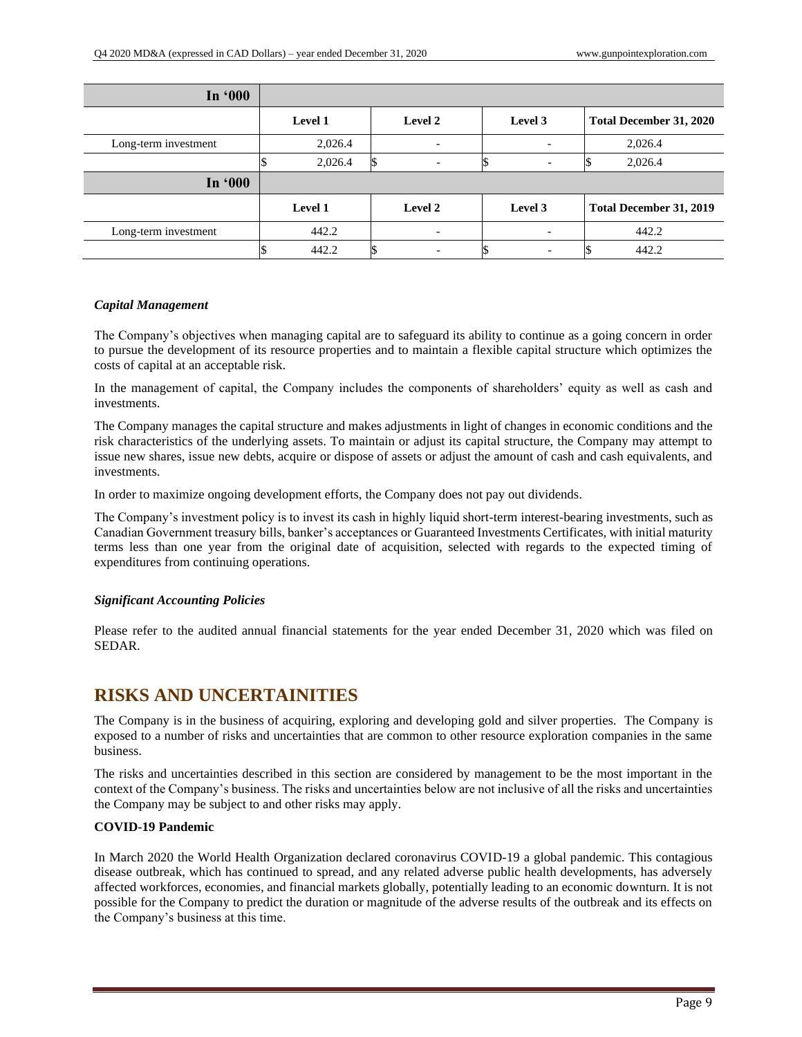| In '000              |         |                          |         |                         |
|----------------------|---------|--------------------------|---------|-------------------------|
|                      | Level 1 | <b>Level 2</b>           | Level 3 | Total December 31, 2020 |
| Long-term investment | 2,026.4 | $\overline{\phantom{a}}$ |         | 2,026.4                 |
|                      | 2,026.4 | $\overline{\phantom{0}}$ |         | 2,026.4                 |
| In '000              |         |                          |         |                         |
|                      | Level 1 | Level 2                  | Level 3 | Total December 31, 2019 |
| Long-term investment | 442.2   | $\overline{\phantom{0}}$ |         | 442.2                   |
|                      | 442.2   |                          |         | 442.2                   |

#### *Capital Management*

The Company's objectives when managing capital are to safeguard its ability to continue as a going concern in order to pursue the development of its resource properties and to maintain a flexible capital structure which optimizes the costs of capital at an acceptable risk.

In the management of capital, the Company includes the components of shareholders' equity as well as cash and investments.

The Company manages the capital structure and makes adjustments in light of changes in economic conditions and the risk characteristics of the underlying assets. To maintain or adjust its capital structure, the Company may attempt to issue new shares, issue new debts, acquire or dispose of assets or adjust the amount of cash and cash equivalents, and investments.

In order to maximize ongoing development efforts, the Company does not pay out dividends.

The Company's investment policy is to invest its cash in highly liquid short-term interest-bearing investments, such as Canadian Government treasury bills, banker's acceptances or Guaranteed Investments Certificates, with initial maturity terms less than one year from the original date of acquisition, selected with regards to the expected timing of expenditures from continuing operations.

#### *Significant Accounting Policies*

Please refer to the audited annual financial statements for the year ended December 31, 2020 which was filed on SEDAR.

### **RISKS AND UNCERTAINITIES**

The Company is in the business of acquiring, exploring and developing gold and silver properties. The Company is exposed to a number of risks and uncertainties that are common to other resource exploration companies in the same business.

The risks and uncertainties described in this section are considered by management to be the most important in the context of the Company's business. The risks and uncertainties below are not inclusive of all the risks and uncertainties the Company may be subject to and other risks may apply.

#### **COVID-19 Pandemic**

In March 2020 the World Health Organization declared coronavirus COVID-19 a global pandemic. This contagious disease outbreak, which has continued to spread, and any related adverse public health developments, has adversely affected workforces, economies, and financial markets globally, potentially leading to an economic downturn. It is not possible for the Company to predict the duration or magnitude of the adverse results of the outbreak and its effects on the Company's business at this time.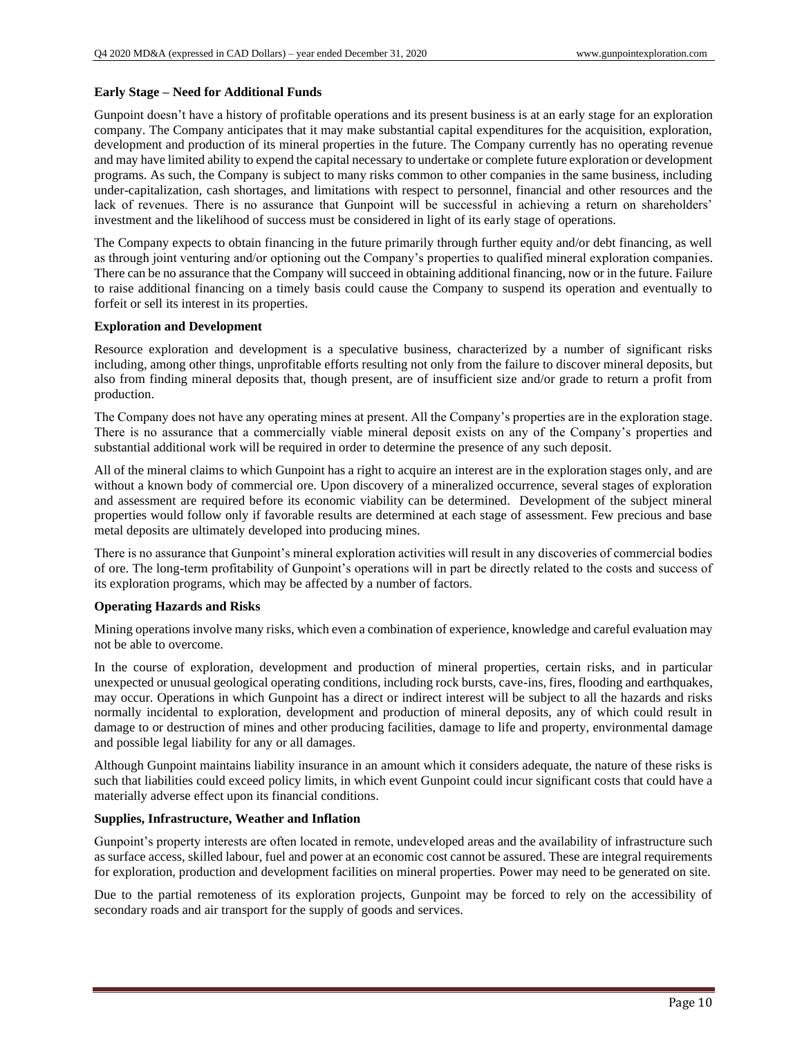#### **Early Stage – Need for Additional Funds**

Gunpoint doesn't have a history of profitable operations and its present business is at an early stage for an exploration company. The Company anticipates that it may make substantial capital expenditures for the acquisition, exploration, development and production of its mineral properties in the future. The Company currently has no operating revenue and may have limited ability to expend the capital necessary to undertake or complete future exploration or development programs. As such, the Company is subject to many risks common to other companies in the same business, including under-capitalization, cash shortages, and limitations with respect to personnel, financial and other resources and the lack of revenues. There is no assurance that Gunpoint will be successful in achieving a return on shareholders' investment and the likelihood of success must be considered in light of its early stage of operations.

The Company expects to obtain financing in the future primarily through further equity and/or debt financing, as well as through joint venturing and/or optioning out the Company's properties to qualified mineral exploration companies. There can be no assurance that the Company will succeed in obtaining additional financing, now or in the future. Failure to raise additional financing on a timely basis could cause the Company to suspend its operation and eventually to forfeit or sell its interest in its properties.

#### **Exploration and Development**

Resource exploration and development is a speculative business, characterized by a number of significant risks including, among other things, unprofitable efforts resulting not only from the failure to discover mineral deposits, but also from finding mineral deposits that, though present, are of insufficient size and/or grade to return a profit from production.

The Company does not have any operating mines at present. All the Company's properties are in the exploration stage. There is no assurance that a commercially viable mineral deposit exists on any of the Company's properties and substantial additional work will be required in order to determine the presence of any such deposit.

All of the mineral claims to which Gunpoint has a right to acquire an interest are in the exploration stages only, and are without a known body of commercial ore. Upon discovery of a mineralized occurrence, several stages of exploration and assessment are required before its economic viability can be determined. Development of the subject mineral properties would follow only if favorable results are determined at each stage of assessment. Few precious and base metal deposits are ultimately developed into producing mines.

There is no assurance that Gunpoint's mineral exploration activities will result in any discoveries of commercial bodies of ore. The long-term profitability of Gunpoint's operations will in part be directly related to the costs and success of its exploration programs, which may be affected by a number of factors.

#### **Operating Hazards and Risks**

Mining operations involve many risks, which even a combination of experience, knowledge and careful evaluation may not be able to overcome.

In the course of exploration, development and production of mineral properties, certain risks, and in particular unexpected or unusual geological operating conditions, including rock bursts, cave-ins, fires, flooding and earthquakes, may occur. Operations in which Gunpoint has a direct or indirect interest will be subject to all the hazards and risks normally incidental to exploration, development and production of mineral deposits, any of which could result in damage to or destruction of mines and other producing facilities, damage to life and property, environmental damage and possible legal liability for any or all damages.

Although Gunpoint maintains liability insurance in an amount which it considers adequate, the nature of these risks is such that liabilities could exceed policy limits, in which event Gunpoint could incur significant costs that could have a materially adverse effect upon its financial conditions.

#### **Supplies, Infrastructure, Weather and Inflation**

Gunpoint's property interests are often located in remote, undeveloped areas and the availability of infrastructure such as surface access, skilled labour, fuel and power at an economic cost cannot be assured. These are integral requirements for exploration, production and development facilities on mineral properties. Power may need to be generated on site.

Due to the partial remoteness of its exploration projects, Gunpoint may be forced to rely on the accessibility of secondary roads and air transport for the supply of goods and services.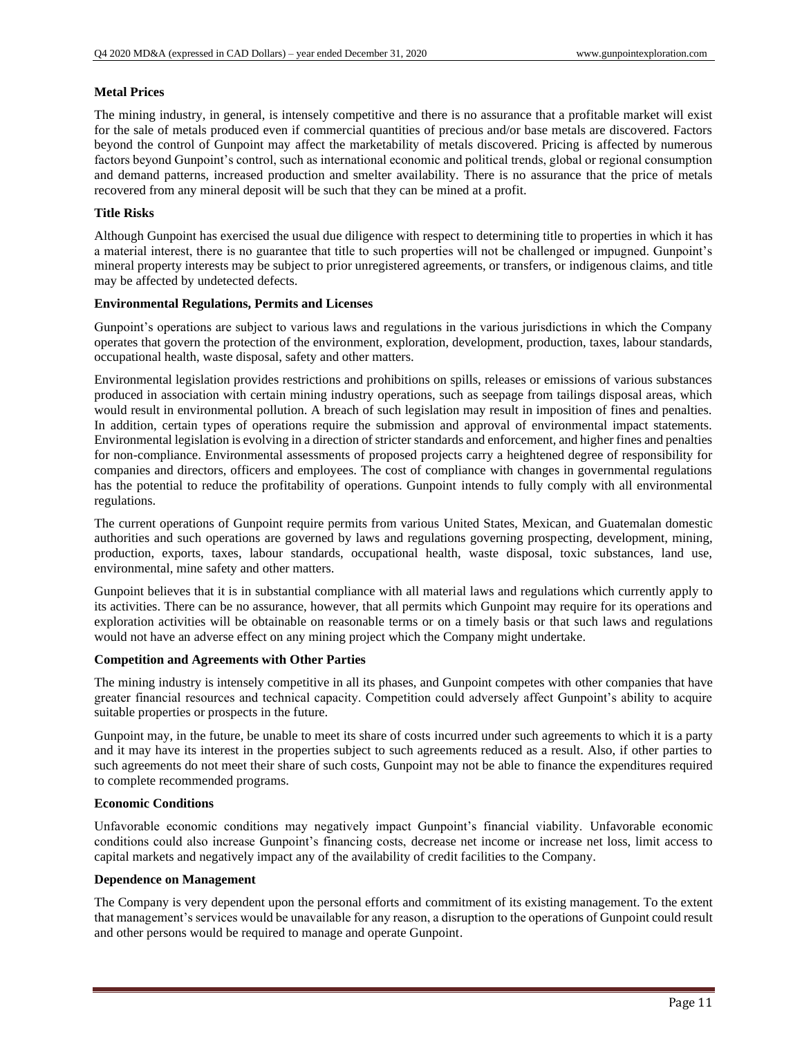#### **Metal Prices**

The mining industry, in general, is intensely competitive and there is no assurance that a profitable market will exist for the sale of metals produced even if commercial quantities of precious and/or base metals are discovered. Factors beyond the control of Gunpoint may affect the marketability of metals discovered. Pricing is affected by numerous factors beyond Gunpoint's control, such as international economic and political trends, global or regional consumption and demand patterns, increased production and smelter availability. There is no assurance that the price of metals recovered from any mineral deposit will be such that they can be mined at a profit.

#### **Title Risks**

Although Gunpoint has exercised the usual due diligence with respect to determining title to properties in which it has a material interest, there is no guarantee that title to such properties will not be challenged or impugned. Gunpoint's mineral property interests may be subject to prior unregistered agreements, or transfers, or indigenous claims, and title may be affected by undetected defects.

#### **Environmental Regulations, Permits and Licenses**

Gunpoint's operations are subject to various laws and regulations in the various jurisdictions in which the Company operates that govern the protection of the environment, exploration, development, production, taxes, labour standards, occupational health, waste disposal, safety and other matters.

Environmental legislation provides restrictions and prohibitions on spills, releases or emissions of various substances produced in association with certain mining industry operations, such as seepage from tailings disposal areas, which would result in environmental pollution. A breach of such legislation may result in imposition of fines and penalties. In addition, certain types of operations require the submission and approval of environmental impact statements. Environmental legislation is evolving in a direction of stricter standards and enforcement, and higher fines and penalties for non-compliance. Environmental assessments of proposed projects carry a heightened degree of responsibility for companies and directors, officers and employees. The cost of compliance with changes in governmental regulations has the potential to reduce the profitability of operations. Gunpoint intends to fully comply with all environmental regulations.

The current operations of Gunpoint require permits from various United States, Mexican, and Guatemalan domestic authorities and such operations are governed by laws and regulations governing prospecting, development, mining, production, exports, taxes, labour standards, occupational health, waste disposal, toxic substances, land use, environmental, mine safety and other matters.

Gunpoint believes that it is in substantial compliance with all material laws and regulations which currently apply to its activities. There can be no assurance, however, that all permits which Gunpoint may require for its operations and exploration activities will be obtainable on reasonable terms or on a timely basis or that such laws and regulations would not have an adverse effect on any mining project which the Company might undertake.

#### **Competition and Agreements with Other Parties**

The mining industry is intensely competitive in all its phases, and Gunpoint competes with other companies that have greater financial resources and technical capacity. Competition could adversely affect Gunpoint's ability to acquire suitable properties or prospects in the future.

Gunpoint may, in the future, be unable to meet its share of costs incurred under such agreements to which it is a party and it may have its interest in the properties subject to such agreements reduced as a result. Also, if other parties to such agreements do not meet their share of such costs, Gunpoint may not be able to finance the expenditures required to complete recommended programs.

#### **Economic Conditions**

Unfavorable economic conditions may negatively impact Gunpoint's financial viability. Unfavorable economic conditions could also increase Gunpoint's financing costs, decrease net income or increase net loss, limit access to capital markets and negatively impact any of the availability of credit facilities to the Company.

#### **Dependence on Management**

The Company is very dependent upon the personal efforts and commitment of its existing management. To the extent that management's services would be unavailable for any reason, a disruption to the operations of Gunpoint could result and other persons would be required to manage and operate Gunpoint.